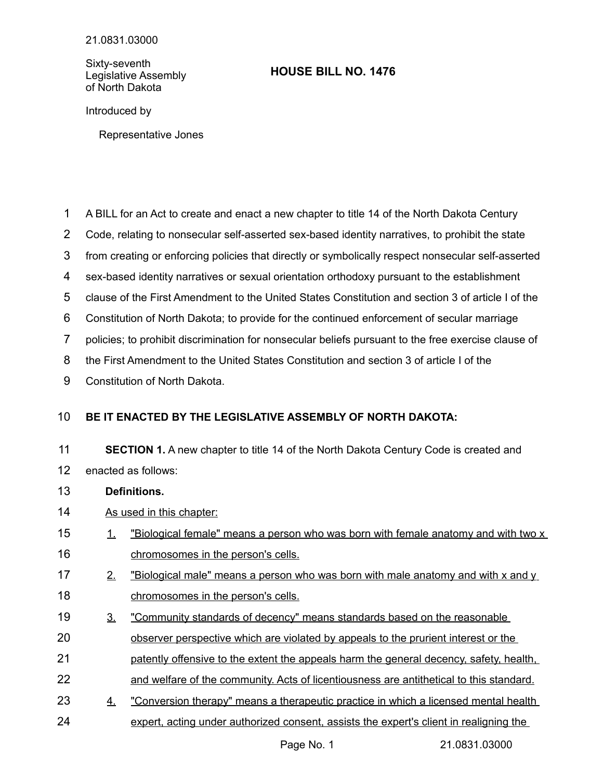Sixty-seventh Legislative Assembly of North Dakota

## **HOUSE BILL NO. 1476**

Introduced by

Representative Jones

A BILL for an Act to create and enact a new chapter to title 14 of the North Dakota Century 1

- Code, relating to nonsecular self-asserted sex-based identity narratives, to prohibit the state 2
- from creating or enforcing policies that directly or symbolically respect nonsecular self-asserted 3
- sex-based identity narratives or sexual orientation orthodoxy pursuant to the establishment 4
- clause of the First Amendment to the United States Constitution and section 3 of article I of the 5
- Constitution of North Dakota; to provide for the continued enforcement of secular marriage 6
- policies; to prohibit discrimination for nonsecular beliefs pursuant to the free exercise clause of 7
- the First Amendment to the United States Constitution and section 3 of article I of the 8
- Constitution of North Dakota. 9

## **BE IT ENACTED BY THE LEGISLATIVE ASSEMBLY OF NORTH DAKOTA:** 10

**SECTION 1.** A new chapter to title 14 of the North Dakota Century Code is created and enacted as follows: 11 12

## **Definitions.** 13

## As used in this chapter: 14

- 1. " Biological female" means a person who was born with female anatomy and with two x chromosomes in the person's cells. 15 16
- 2. "Biological male" means a person who was born with male anatomy and with x and  $y$ chromosomes in the person's cells. 17 18
- 3. "Community standards of decency" means standards based on the reasonable 19
- observer perspective which are violated by appeals to the prurient interest or the 20
- patently offensive to the extent the appeals harm the general decency, safety, health, 21
- and welfare of the community. Acts of licentiousness are antithetical to this standard. 22
- 4. "Conversion therapy" means a therapeutic practice in which a licensed mental health expert, acting under authorized consent, assists the expert's client in realigning the 23 24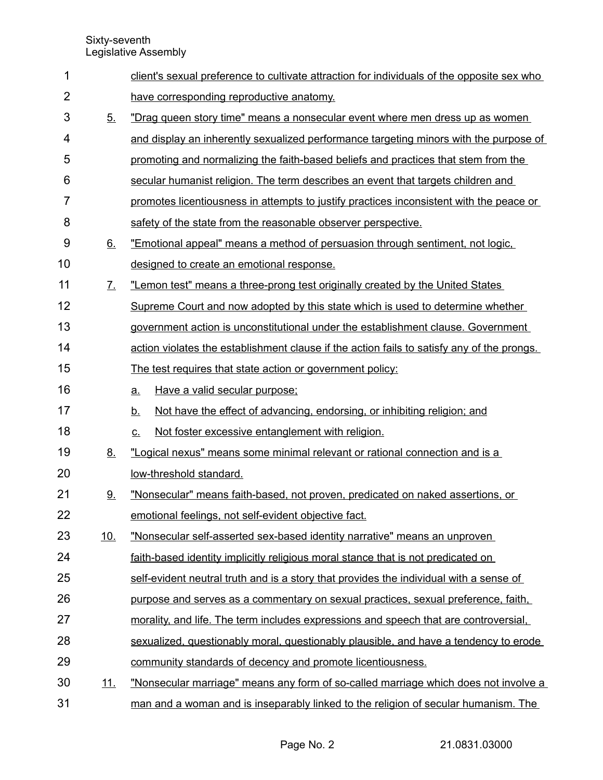| $\mathbf 1$    |            | client's sexual preference to cultivate attraction for individuals of the opposite sex who |  |  |
|----------------|------------|--------------------------------------------------------------------------------------------|--|--|
| $\overline{2}$ |            | have corresponding reproductive anatomy.                                                   |  |  |
| 3              | 5.         | "Drag queen story time" means a nonsecular event where men dress up as women               |  |  |
| 4              |            | and display an inherently sexualized performance targeting minors with the purpose of      |  |  |
| 5              |            | promoting and normalizing the faith-based beliefs and practices that stem from the         |  |  |
| 6              |            | secular humanist religion. The term describes an event that targets children and           |  |  |
| 7              |            | promotes licentiousness in attempts to justify practices inconsistent with the peace or    |  |  |
| 8              |            | safety of the state from the reasonable observer perspective.                              |  |  |
| 9              | <u>6.</u>  | "Emotional appeal" means a method of persuasion through sentiment, not logic,              |  |  |
| 10             |            | designed to create an emotional response.                                                  |  |  |
| 11             | <u>7.</u>  | "Lemon test" means a three-prong test originally created by the United States              |  |  |
| 12             |            | Supreme Court and now adopted by this state which is used to determine whether             |  |  |
| 13             |            | government action is unconstitutional under the establishment clause. Government           |  |  |
| 14             |            | action violates the establishment clause if the action fails to satisfy any of the prongs. |  |  |
| 15             |            | The test requires that state action or government policy:                                  |  |  |
| 16             |            | Have a valid secular purpose;<br>a.                                                        |  |  |
| 17             |            | Not have the effect of advancing, endorsing, or inhibiting religion; and<br><u>b.</u>      |  |  |
| 18             |            | Not foster excessive entanglement with religion.<br>$\underline{C}$ .                      |  |  |
| 19             | <u>8.</u>  | "Logical nexus" means some minimal relevant or rational connection and is a                |  |  |
| 20             |            | low-threshold standard.                                                                    |  |  |
| 21             | <u>g.</u>  | "Nonsecular" means faith-based, not proven, predicated on naked assertions, or             |  |  |
| 22             |            | emotional feelings, not self-evident objective fact.                                       |  |  |
| 23             | <u>10.</u> | "Nonsecular self-asserted sex-based identity narrative" means an unproven                  |  |  |
| 24             |            | faith-based identity implicitly religious moral stance that is not predicated on           |  |  |
| 25             |            | self-evident neutral truth and is a story that provides the individual with a sense of     |  |  |
| 26             |            | purpose and serves as a commentary on sexual practices, sexual preference, faith,          |  |  |
| 27             |            | morality, and life. The term includes expressions and speech that are controversial.       |  |  |
| 28             |            | sexualized, questionably moral, questionably plausible, and have a tendency to erode       |  |  |
| 29             |            | community standards of decency and promote licentiousness.                                 |  |  |
| 30             | <u>11.</u> | "Nonsecular marriage" means any form of so-called marriage which does not involve a        |  |  |
| 31             |            | man and a woman and is inseparably linked to the religion of secular humanism. The         |  |  |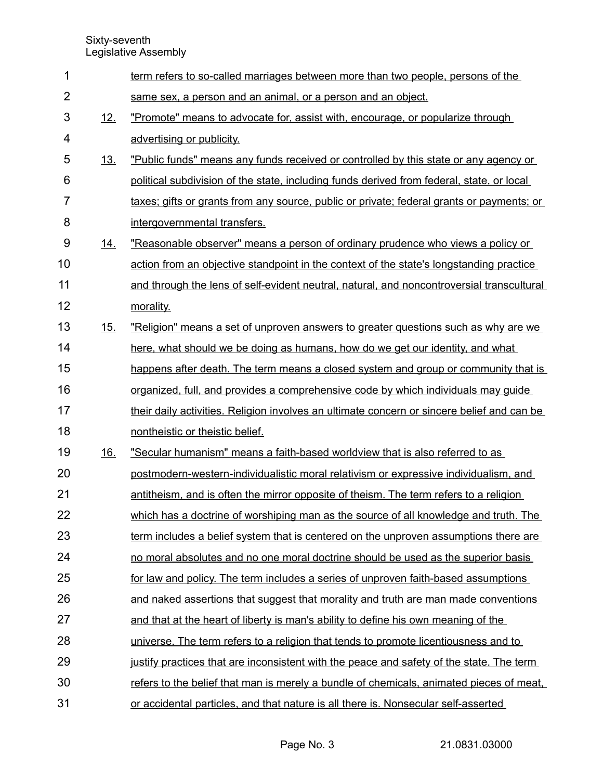| 1              |            | term refers to so-called marriages between more than two people, persons of the            |
|----------------|------------|--------------------------------------------------------------------------------------------|
| $\overline{2}$ |            | same sex, a person and an animal, or a person and an object.                               |
| 3              | <u>12.</u> | "Promote" means to advocate for, assist with, encourage, or popularize through             |
| 4              |            | advertising or publicity.                                                                  |
| 5              | <u>13.</u> | "Public funds" means any funds received or controlled by this state or any agency or       |
| 6              |            | political subdivision of the state, including funds derived from federal, state, or local  |
| $\overline{7}$ |            | taxes; gifts or grants from any source, public or private; federal grants or payments; or  |
| 8              |            | intergovernmental transfers.                                                               |
| 9              | 14.        | "Reasonable observer" means a person of ordinary prudence who views a policy or            |
| 10             |            | action from an objective standpoint in the context of the state's longstanding practice    |
| 11             |            | and through the lens of self-evident neutral, natural, and noncontroversial transcultural  |
| 12             |            | morality.                                                                                  |
| 13             | 15.        | "Religion" means a set of unproven answers to greater questions such as why are we         |
| 14             |            | here, what should we be doing as humans, how do we get our identity, and what              |
| 15             |            | happens after death. The term means a closed system and group or community that is         |
| 16             |            | organized, full, and provides a comprehensive code by which individuals may guide          |
| 17             |            | their daily activities. Religion involves an ultimate concern or sincere belief and can be |
| 18             |            | nontheistic or theistic belief.                                                            |
| 19             | <u>16.</u> | "Secular humanism" means a faith-based worldview that is also referred to as               |
| 20             |            | postmodern-western-individualistic moral relativism or expressive individualism, and       |
| 21             |            | antitheism, and is often the mirror opposite of theism. The term refers to a religion      |
| 22             |            | which has a doctrine of worshiping man as the source of all knowledge and truth. The       |
| 23             |            | term includes a belief system that is centered on the unproven assumptions there are       |
| 24             |            | no moral absolutes and no one moral doctrine should be used as the superior basis          |
| 25             |            | for law and policy. The term includes a series of unproven faith-based assumptions         |
| 26             |            | and naked assertions that suggest that morality and truth are man made conventions         |
| 27             |            | and that at the heart of liberty is man's ability to define his own meaning of the         |
| 28             |            | universe. The term refers to a religion that tends to promote licentiousness and to        |
| 29             |            | justify practices that are inconsistent with the peace and safety of the state. The term   |
| 30             |            | refers to the belief that man is merely a bundle of chemicals, animated pieces of meat,    |
| 31             |            | or accidental particles, and that nature is all there is. Nonsecular self-asserted         |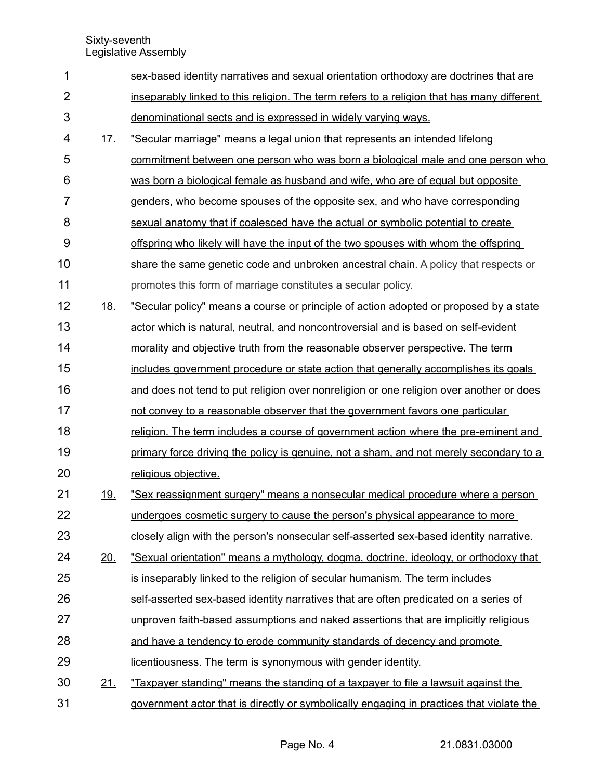| 1              |            | sex-based identity narratives and sexual orientation orthodoxy are doctrines that are      |
|----------------|------------|--------------------------------------------------------------------------------------------|
| $\overline{2}$ |            | inseparably linked to this religion. The term refers to a religion that has many different |
| 3              |            | denominational sects and is expressed in widely varying ways.                              |
| 4              | 17.        | "Secular marriage" means a legal union that represents an intended lifelong                |
| 5              |            | commitment between one person who was born a biological male and one person who            |
| 6              |            | was born a biological female as husband and wife, who are of equal but opposite            |
| 7              |            | genders, who become spouses of the opposite sex, and who have corresponding                |
| 8              |            | sexual anatomy that if coalesced have the actual or symbolic potential to create           |
| 9              |            | offspring who likely will have the input of the two spouses with whom the offspring        |
| 10             |            | share the same genetic code and unbroken ancestral chain. A policy that respects or        |
| 11             |            | promotes this form of marriage constitutes a secular policy.                               |
| 12             | <u>18.</u> | "Secular policy" means a course or principle of action adopted or proposed by a state      |
| 13             |            | actor which is natural, neutral, and noncontroversial and is based on self-evident         |
| 14             |            | morality and objective truth from the reasonable observer perspective. The term            |
| 15             |            | includes government procedure or state action that generally accomplishes its goals        |
| 16             |            | and does not tend to put religion over nonreligion or one religion over another or does    |
| 17             |            | not convey to a reasonable observer that the government favors one particular              |
| 18             |            | religion. The term includes a course of government action where the pre-eminent and        |
| 19             |            | primary force driving the policy is genuine, not a sham, and not merely secondary to a     |
| 20             |            | religious objective.                                                                       |
| 21             | <u>19.</u> | "Sex reassignment surgery" means a nonsecular medical procedure where a person             |
| 22             |            | undergoes cosmetic surgery to cause the person's physical appearance to more               |
| 23             |            | closely align with the person's nonsecular self-asserted sex-based identity narrative.     |
| 24             | 20.        | "Sexual orientation" means a mythology, dogma, doctrine, ideology, or orthodoxy that       |
| 25             |            | is inseparably linked to the religion of secular humanism. The term includes               |
| 26             |            | self-asserted sex-based identity narratives that are often predicated on a series of       |
| 27             |            | unproven faith-based assumptions and naked assertions that are implicitly religious        |
| 28             |            | and have a tendency to erode community standards of decency and promote                    |
| 29             |            | licentiousness. The term is synonymous with gender identity.                               |
| 30             | 21.        | <u>"Taxpayer standing" means the standing of a taxpayer to file a lawsuit against the</u>  |
| 31             |            | government actor that is directly or symbolically engaging in practices that violate the   |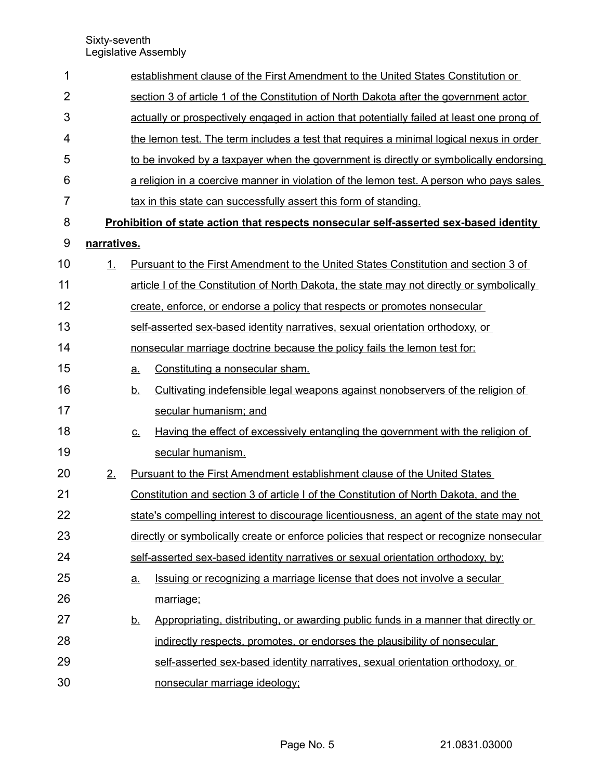| 1              |             | establishment clause of the First Amendment to the United States Constitution or          |                                                                                              |  |  |  |
|----------------|-------------|-------------------------------------------------------------------------------------------|----------------------------------------------------------------------------------------------|--|--|--|
| $\overline{2}$ |             | section 3 of article 1 of the Constitution of North Dakota after the government actor     |                                                                                              |  |  |  |
| 3              |             | actually or prospectively engaged in action that potentially failed at least one prong of |                                                                                              |  |  |  |
| 4              |             | the lemon test. The term includes a test that requires a minimal logical nexus in order   |                                                                                              |  |  |  |
| 5              |             |                                                                                           | to be invoked by a taxpayer when the government is directly or symbolically endorsing        |  |  |  |
| 6              |             |                                                                                           | a religion in a coercive manner in violation of the lemon test. A person who pays sales      |  |  |  |
| $\overline{7}$ |             |                                                                                           | tax in this state can successfully assert this form of standing.                             |  |  |  |
| 8              |             |                                                                                           | <b>Prohibition of state action that respects nonsecular self-asserted sex-based identity</b> |  |  |  |
| 9              | narratives. |                                                                                           |                                                                                              |  |  |  |
| 10             | 1.          |                                                                                           | Pursuant to the First Amendment to the United States Constitution and section 3 of           |  |  |  |
| 11             |             |                                                                                           | article I of the Constitution of North Dakota, the state may not directly or symbolically    |  |  |  |
| 12             |             |                                                                                           | create, enforce, or endorse a policy that respects or promotes nonsecular                    |  |  |  |
| 13             |             |                                                                                           | self-asserted sex-based identity narratives, sexual orientation orthodoxy, or                |  |  |  |
| 14             |             |                                                                                           | nonsecular marriage doctrine because the policy fails the lemon test for:                    |  |  |  |
| 15             |             | <u>a.</u>                                                                                 | Constituting a nonsecular sham.                                                              |  |  |  |
| 16             |             | <u>b.</u>                                                                                 | <u>Cultivating indefensible legal weapons against nonobservers of the religion of</u>        |  |  |  |
| 17             |             |                                                                                           | secular humanism; and                                                                        |  |  |  |
| 18             |             | <u>c.</u>                                                                                 | Having the effect of excessively entangling the government with the religion of              |  |  |  |
| 19             |             |                                                                                           | secular humanism.                                                                            |  |  |  |
| 20             | 2.          |                                                                                           | Pursuant to the First Amendment establishment clause of the United States                    |  |  |  |
| 21             |             | Constitution and section 3 of article I of the Constitution of North Dakota, and the      |                                                                                              |  |  |  |
| 22             |             | state's compelling interest to discourage licentiousness, an agent of the state may not   |                                                                                              |  |  |  |
| 23             |             |                                                                                           | directly or symbolically create or enforce policies that respect or recognize nonsecular     |  |  |  |
| 24             |             |                                                                                           | self-asserted sex-based identity narratives or sexual orientation orthodoxy, by:             |  |  |  |
| 25             |             | <u>a.</u>                                                                                 | Issuing or recognizing a marriage license that does not involve a secular                    |  |  |  |
| 26             |             |                                                                                           | marriage;                                                                                    |  |  |  |
| 27             |             | <u>b.</u>                                                                                 | Appropriating, distributing, or awarding public funds in a manner that directly or           |  |  |  |
| 28             |             |                                                                                           | indirectly respects, promotes, or endorses the plausibility of nonsecular                    |  |  |  |
| 29             |             |                                                                                           | self-asserted sex-based identity narratives, sexual orientation orthodoxy, or                |  |  |  |
| 30             |             |                                                                                           | nonsecular marriage ideology;                                                                |  |  |  |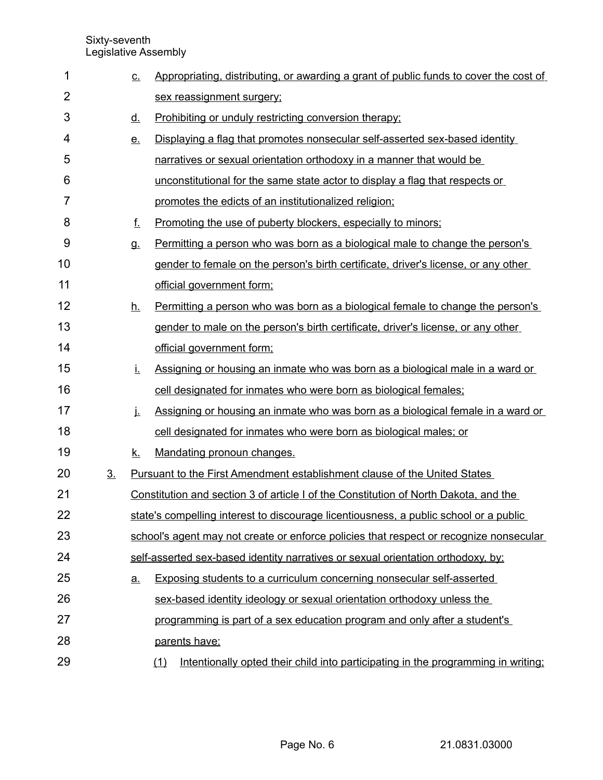| 1  |                | <u>C.</u>         | Appropriating, distributing, or awarding a grant of public funds to cover the cost of    |
|----|----------------|-------------------|------------------------------------------------------------------------------------------|
| 2  |                |                   | sex reassignment surgery;                                                                |
| 3  |                | <u>d.</u>         | Prohibiting or unduly restricting conversion therapy;                                    |
| 4  |                | <u>e.</u>         | Displaying a flag that promotes nonsecular self-asserted sex-based identity              |
| 5  |                |                   | narratives or sexual orientation orthodoxy in a manner that would be                     |
| 6  |                |                   | unconstitutional for the same state actor to display a flag that respects or             |
| 7  |                |                   | promotes the edicts of an institutionalized religion;                                    |
| 8  |                | f.                | Promoting the use of puberty blockers, especially to minors;                             |
| 9  |                | <b>g</b>          | <u>Permitting a person who was born as a biological male to change the person's</u>      |
| 10 |                |                   | gender to female on the person's birth certificate, driver's license, or any other       |
| 11 |                |                   | official government form;                                                                |
| 12 |                | <u>h.</u>         | Permitting a person who was born as a biological female to change the person's           |
| 13 |                |                   | gender to male on the person's birth certificate, driver's license, or any other         |
| 14 |                |                   | official government form;                                                                |
| 15 |                | İ.                | Assigning or housing an inmate who was born as a biological male in a ward or            |
| 16 |                |                   | cell designated for inmates who were born as biological females;                         |
| 17 |                | j.                | Assigning or housing an inmate who was born as a biological female in a ward or          |
| 18 |                |                   | cell designated for inmates who were born as biological males; or                        |
| 19 |                | <u>k.</u>         | Mandating pronoun changes.                                                               |
| 20 | 3 <sub>1</sub> |                   | Pursuant to the First Amendment establishment clause of the United States                |
| 21 |                |                   | Constitution and section 3 of article I of the Constitution of North Dakota, and the     |
| 22 |                |                   | state's compelling interest to discourage licentiousness, a public school or a public    |
| 23 |                |                   | school's agent may not create or enforce policies that respect or recognize nonsecular   |
| 24 |                |                   | self-asserted sex-based identity narratives or sexual orientation orthodoxy, by:         |
| 25 |                | $\underline{a}$ . | Exposing students to a curriculum concerning nonsecular self-asserted                    |
| 26 |                |                   | sex-based identity ideology or sexual orientation orthodoxy unless the                   |
| 27 |                |                   | programming is part of a sex education program and only after a student's                |
| 28 |                |                   | parents have:                                                                            |
| 29 |                |                   | Intentionally opted their child into participating in the programming in writing;<br>(1) |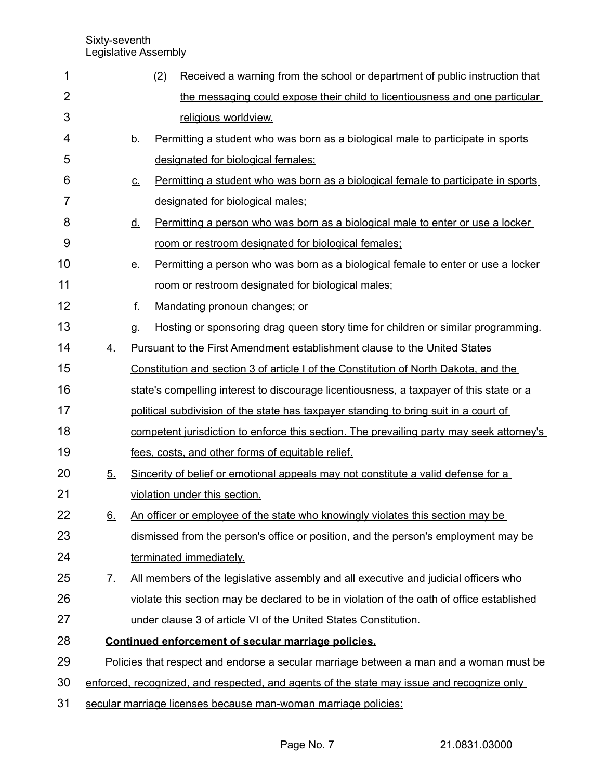| 1              |                             |                | (2) | Received a warning from the school or department of public instruction that               |
|----------------|-----------------------------|----------------|-----|-------------------------------------------------------------------------------------------|
| $\overline{2}$ |                             |                |     | the messaging could expose their child to licentiousness and one particular               |
| 3              |                             |                |     | religious worldview.                                                                      |
| 4              |                             | <u>b.</u>      |     | Permitting a student who was born as a biological male to participate in sports           |
| 5              |                             |                |     | designated for biological females;                                                        |
| 6              |                             | <u>c.</u>      |     | <u>Permitting a student who was born as a biological female to participate in sports</u>  |
| 7              |                             |                |     | designated for biological males;                                                          |
| 8              |                             | <u>d.</u>      |     | Permitting a person who was born as a biological male to enter or use a locker            |
| 9              |                             |                |     | room or restroom designated for biological females;                                       |
| 10             |                             | e <sub>1</sub> |     | Permitting a person who was born as a biological female to enter or use a locker          |
| 11             |                             |                |     | room or restroom designated for biological males;                                         |
| 12             |                             | f.             |     | Mandating pronoun changes; or                                                             |
| 13             |                             | <b>q</b>       |     | Hosting or sponsoring drag queen story time for children or similar programming.          |
| 14             | 4.                          |                |     | <u>Pursuant to the First Amendment establishment clause to the United States</u>          |
| 15             |                             |                |     | Constitution and section 3 of article I of the Constitution of North Dakota, and the      |
| 16             |                             |                |     | state's compelling interest to discourage licentiousness, a taxpayer of this state or a   |
| 17             |                             |                |     | political subdivision of the state has taxpayer standing to bring suit in a court of      |
| 18             |                             |                |     | competent jurisdiction to enforce this section. The prevailing party may seek attorney's  |
| 19             |                             |                |     | fees, costs, and other forms of equitable relief.                                         |
| 20             | 5.                          |                |     | Sincerity of belief or emotional appeals may not constitute a valid defense for a         |
| 21             |                             |                |     | violation under this section.                                                             |
| 22             | 6.                          |                |     | An officer or employee of the state who knowingly violates this section may be            |
| 23             |                             |                |     | dismissed from the person's office or position, and the person's employment may be        |
| 24             |                             |                |     | terminated immediately.                                                                   |
| 25             | $\underline{\mathcal{I}}$ . |                |     | All members of the legislative assembly and all executive and judicial officers who       |
| 26             |                             |                |     | violate this section may be declared to be in violation of the oath of office established |
| 27             |                             |                |     | under clause 3 of article VI of the United States Constitution.                           |
| 28             |                             |                |     | Continued enforcement of secular marriage policies.                                       |
| 29             |                             |                |     | Policies that respect and endorse a secular marriage between a man and a woman must be    |
| 30             |                             |                |     | enforced, recognized, and respected, and agents of the state may issue and recognize only |

secular marriage licenses because man-woman marriage policies: 31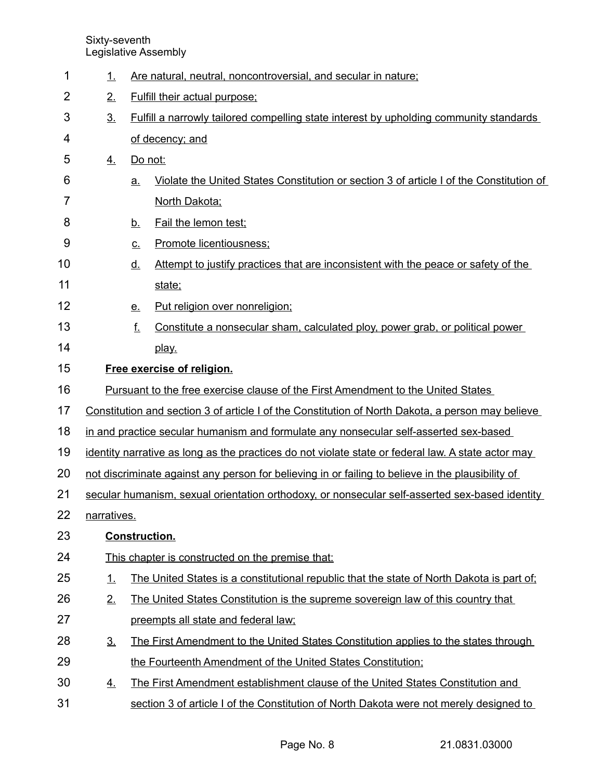| 1              | <u> 1.</u>                                                                                         | Are natural, neutral, noncontroversial, and secular in nature;                                  |                                                                                         |  |  |
|----------------|----------------------------------------------------------------------------------------------------|-------------------------------------------------------------------------------------------------|-----------------------------------------------------------------------------------------|--|--|
| $\overline{2}$ | 2.                                                                                                 | Fulfill their actual purpose;                                                                   |                                                                                         |  |  |
| 3              | $\underline{3}$ .                                                                                  | <b>Fulfill a narrowly tailored compelling state interest by upholding community standards</b>   |                                                                                         |  |  |
| 4              |                                                                                                    | of decency; and                                                                                 |                                                                                         |  |  |
| 5              | $\overline{4}$ .                                                                                   | Do not:                                                                                         |                                                                                         |  |  |
| 6              |                                                                                                    | a.                                                                                              | Violate the United States Constitution or section 3 of article I of the Constitution of |  |  |
| 7              |                                                                                                    | North Dakota;                                                                                   |                                                                                         |  |  |
| 8              |                                                                                                    | Fail the lemon test:<br><u>b.</u>                                                               |                                                                                         |  |  |
| 9              |                                                                                                    | Promote licentiousness;<br><u>C.</u>                                                            |                                                                                         |  |  |
| 10             |                                                                                                    | Attempt to justify practices that are inconsistent with the peace or safety of the<br><u>d.</u> |                                                                                         |  |  |
| 11             |                                                                                                    | state:                                                                                          |                                                                                         |  |  |
| 12             |                                                                                                    | Put religion over nonreligion;<br><u>e.</u>                                                     |                                                                                         |  |  |
| 13             |                                                                                                    | f.<br>Constitute a nonsecular sham, calculated ploy, power grab, or political power             |                                                                                         |  |  |
| 14             |                                                                                                    | play.                                                                                           |                                                                                         |  |  |
| 15             | Free exercise of religion.                                                                         |                                                                                                 |                                                                                         |  |  |
| 16             | Pursuant to the free exercise clause of the First Amendment to the United States                   |                                                                                                 |                                                                                         |  |  |
| 17             | Constitution and section 3 of article I of the Constitution of North Dakota, a person may believe  |                                                                                                 |                                                                                         |  |  |
| 18             | in and practice secular humanism and formulate any nonsecular self-asserted sex-based              |                                                                                                 |                                                                                         |  |  |
| 19             | identity narrative as long as the practices do not violate state or federal law. A state actor may |                                                                                                 |                                                                                         |  |  |
| 20             | not discriminate against any person for believing in or failing to believe in the plausibility of  |                                                                                                 |                                                                                         |  |  |
| 21             |                                                                                                    | secular humanism, sexual orientation orthodoxy, or nonsecular self-asserted sex-based identity  |                                                                                         |  |  |
| 22             | narratives.                                                                                        |                                                                                                 |                                                                                         |  |  |
| 23             | <b>Construction.</b>                                                                               |                                                                                                 |                                                                                         |  |  |
| 24             |                                                                                                    | This chapter is constructed on the premise that:                                                |                                                                                         |  |  |
| 25             | 1.                                                                                                 | The United States is a constitutional republic that the state of North Dakota is part of:       |                                                                                         |  |  |
| 26             | 2.                                                                                                 | The United States Constitution is the supreme sovereign law of this country that                |                                                                                         |  |  |
| 27             |                                                                                                    | preempts all state and federal law;                                                             |                                                                                         |  |  |
| 28             | 3 <sub>1</sub>                                                                                     | The First Amendment to the United States Constitution applies to the states through             |                                                                                         |  |  |
| 29             |                                                                                                    | the Fourteenth Amendment of the United States Constitution;                                     |                                                                                         |  |  |
| 30             | <u>4.</u>                                                                                          | The First Amendment establishment clause of the United States Constitution and                  |                                                                                         |  |  |
| 31             |                                                                                                    | section 3 of article I of the Constitution of North Dakota were not merely designed to          |                                                                                         |  |  |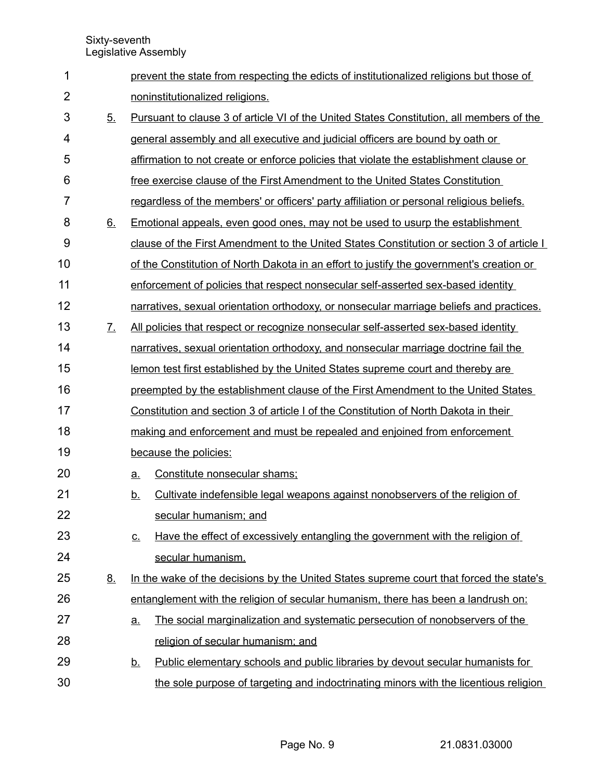| 1              |                       |                                                                                          | prevent the state from respecting the edicts of institutionalized religions but those of  |  |  |
|----------------|-----------------------|------------------------------------------------------------------------------------------|-------------------------------------------------------------------------------------------|--|--|
| $\overline{2}$ |                       | noninstitutionalized religions.                                                          |                                                                                           |  |  |
| 3              | 5.                    | Pursuant to clause 3 of article VI of the United States Constitution, all members of the |                                                                                           |  |  |
| 4              |                       |                                                                                          | general assembly and all executive and judicial officers are bound by oath or             |  |  |
| 5              |                       |                                                                                          | affirmation to not create or enforce policies that violate the establishment clause or    |  |  |
| 6              |                       |                                                                                          | free exercise clause of the First Amendment to the United States Constitution             |  |  |
| 7              |                       |                                                                                          | regardless of the members' or officers' party affiliation or personal religious beliefs.  |  |  |
| 8              | 6.                    |                                                                                          | Emotional appeals, even good ones, may not be used to usurp the establishment             |  |  |
| $9\,$          |                       |                                                                                          | clause of the First Amendment to the United States Constitution or section 3 of article I |  |  |
| 10             |                       |                                                                                          | of the Constitution of North Dakota in an effort to justify the government's creation or  |  |  |
| 11             |                       |                                                                                          | enforcement of policies that respect nonsecular self-asserted sex-based identity          |  |  |
| 12             |                       |                                                                                          | narratives, sexual orientation orthodoxy, or nonsecular marriage beliefs and practices.   |  |  |
| 13             | $\mathcal{I}_{\cdot}$ |                                                                                          | All policies that respect or recognize nonsecular self-asserted sex-based identity        |  |  |
| 14             |                       |                                                                                          | narratives, sexual orientation orthodoxy, and nonsecular marriage doctrine fail the       |  |  |
| 15             |                       |                                                                                          | lemon test first established by the United States supreme court and thereby are           |  |  |
| 16             |                       | preempted by the establishment clause of the First Amendment to the United States        |                                                                                           |  |  |
| 17             |                       | Constitution and section 3 of article I of the Constitution of North Dakota in their     |                                                                                           |  |  |
| 18             |                       | making and enforcement and must be repealed and enjoined from enforcement                |                                                                                           |  |  |
| 19             |                       |                                                                                          | because the policies:                                                                     |  |  |
| 20             |                       | a.                                                                                       | Constitute nonsecular shams:                                                              |  |  |
| 21             |                       | <u>b.</u>                                                                                | Cultivate indefensible legal weapons against nonobservers of the religion of              |  |  |
| 22             |                       |                                                                                          | secular humanism; and                                                                     |  |  |
| 23             |                       | <u>c.</u>                                                                                | Have the effect of excessively entangling the government with the religion of             |  |  |
| 24             |                       |                                                                                          | secular humanism.                                                                         |  |  |
| 25             | <u>8.</u>             | In the wake of the decisions by the United States supreme court that forced the state's  |                                                                                           |  |  |
| 26             |                       |                                                                                          | entanglement with the religion of secular humanism, there has been a landrush on:         |  |  |
| 27             |                       | <u>a.</u>                                                                                | The social marginalization and systematic persecution of nonobservers of the              |  |  |
| 28             |                       |                                                                                          | religion of secular humanism; and                                                         |  |  |
| 29             |                       | <u>b.</u>                                                                                | Public elementary schools and public libraries by devout secular humanists for            |  |  |
| 30             |                       |                                                                                          | the sole purpose of targeting and indoctrinating minors with the licentious religion      |  |  |